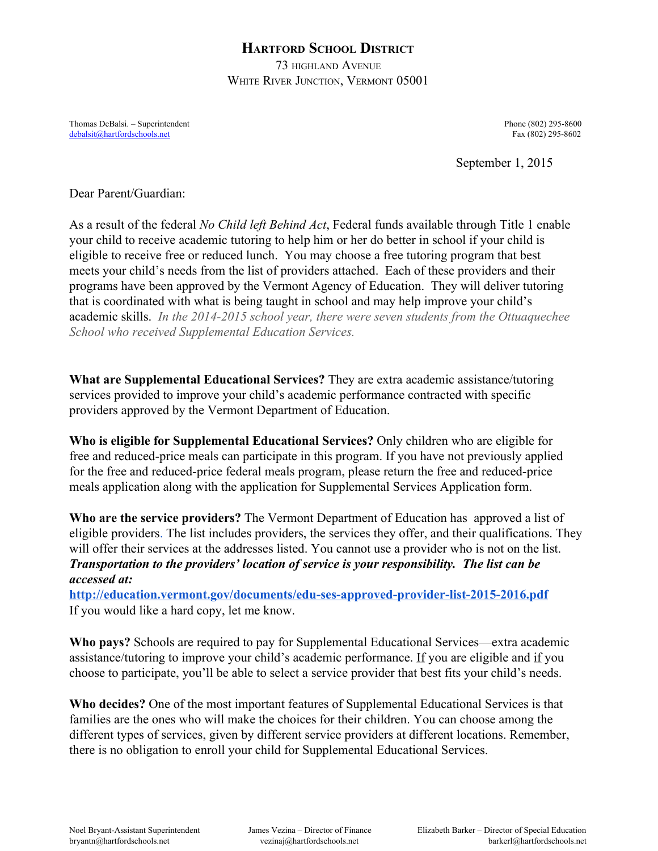## **HARTFORD SCHOOL DISTRICT**

73 HIGHLAND AVENUE WHITE RIVER JUNCTION, VERMONT 05001

Thomas DeBalsi. – Superintendent Phone (802) 295-8600 [debalsit@hartfordschools.net](mailto:debalsit@hartfordschools.net) Fax (802) 295-8602

September 1, 2015

Dear Parent/Guardian:

As a result of the federal *No Child left Behind Act*, Federal funds available through Title 1 enable your child to receive academic tutoring to help him or her do better in school if your child is eligible to receive free or reduced lunch. You may choose a free tutoring program that best meets your child's needs from the list of providers attached. Each of these providers and their programs have been approved by the Vermont Agency of Education. They will deliver tutoring that is coordinated with what is being taught in school and may help improve your child's academic skills. *In the 20142015 school year, there were seven students from the Ottuaquechee School who received Supplemental Education Services.*

**What are Supplemental Educational Services?** They are extra academic assistance/tutoring services provided to improve your child's academic performance contracted with specific providers approved by the Vermont Department of Education.

**Who is eligible for Supplemental Educational Services?** Only children who are eligible for free and reduced-price meals can participate in this program. If you have not previously applied for the free and reduced-price federal meals program, please return the free and reduced-price meals application along with the application for Supplemental Services Application form.

**Who are the service providers?** The Vermont Department of Education has [approved](http://h/) a list of [eligible](http://h/) [providers.](http://h/) The list includes providers, the services they offer, and their qualifications. They will offer their services at the addresses listed. You cannot use a provider who is not on the list. *Transportation to the providers' location of service is your responsibility. The list can be accessed at:*

http://education.vermont.gov/documents/edu-ses-approved-provider-list-2015-2016.pdf If you would like a hard copy, let me know.

**Who pays?** Schools are required to pay for Supplemental Educational Services—extra academic assistance/tutoring to improve your child's academic performance. If you are eligible and if you choose to participate, you'll be able to select a service provider that best fits your child's needs.

**Who decides?** One of the most important features of Supplemental Educational Services is that families are the ones who will make the choices for their children. You can choose among the different types of services, given by different service providers at different locations. Remember, there is no obligation to enroll your child for Supplemental Educational Services.